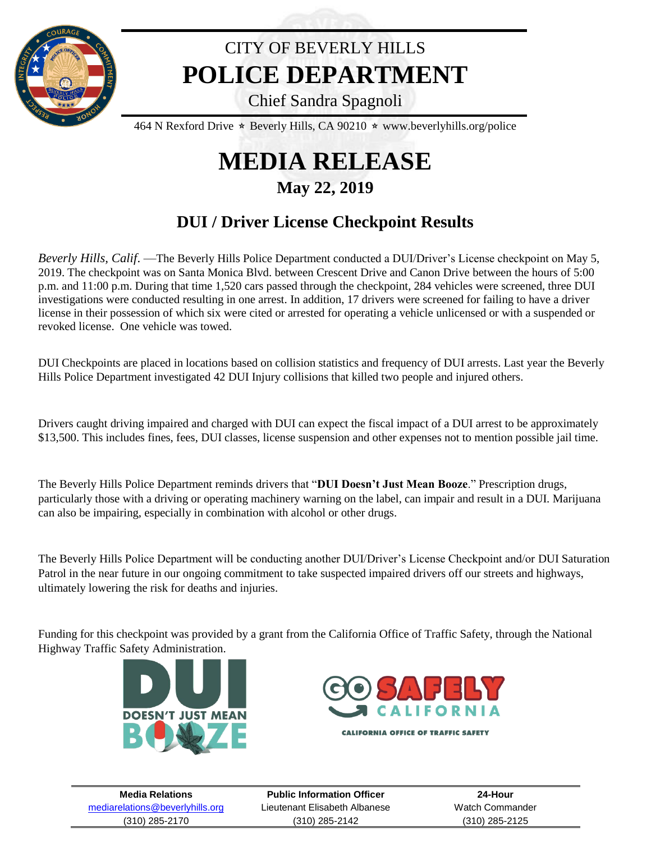

## CITY OF BEVERLY HILLS **POLICE DEPARTMENT**

Chief Sandra Spagnoli

464 N Rexford Drive  $\star$  Beverly Hills, CA 90210  $\star$  www.beverlyhills.org/police

## **MEDIA RELEASE**

## **May 22, 2019**

## **DUI / Driver License Checkpoint Results**

*Beverly Hills, Calif*. —The Beverly Hills Police Department conducted a DUI/Driver's License checkpoint on May 5, 2019. The checkpoint was on Santa Monica Blvd. between Crescent Drive and Canon Drive between the hours of 5:00 p.m. and 11:00 p.m. During that time 1,520 cars passed through the checkpoint, 284 vehicles were screened, three DUI investigations were conducted resulting in one arrest. In addition, 17 drivers were screened for failing to have a driver license in their possession of which six were cited or arrested for operating a vehicle unlicensed or with a suspended or revoked license. One vehicle was towed.

DUI Checkpoints are placed in locations based on collision statistics and frequency of DUI arrests. Last year the Beverly Hills Police Department investigated 42 DUI Injury collisions that killed two people and injured others.

Drivers caught driving impaired and charged with DUI can expect the fiscal impact of a DUI arrest to be approximately \$13,500. This includes fines, fees, DUI classes, license suspension and other expenses not to mention possible jail time.

The Beverly Hills Police Department reminds drivers that "**DUI Doesn't Just Mean Booze**." Prescription drugs, particularly those with a driving or operating machinery warning on the label, can impair and result in a DUI. Marijuana can also be impairing, especially in combination with alcohol or other drugs.

The Beverly Hills Police Department will be conducting another DUI/Driver's License Checkpoint and/or DUI Saturation Patrol in the near future in our ongoing commitment to take suspected impaired drivers off our streets and highways, ultimately lowering the risk for deaths and injuries.

Funding for this checkpoint was provided by a grant from the California Office of Traffic Safety, through the National Highway Traffic Safety Administration.





**CALIFORNIA OFFICE OF TRAFFIC SAFETY** 

| <b>Media Relations</b>          | <b>Public Information Officer</b> | 24-Hour         |
|---------------------------------|-----------------------------------|-----------------|
| mediarelations@beverlyhills.org | Lieutenant Elisabeth Albanese     | Watch Commander |
| $(310)$ 285-2170                | (310) 285-2142                    | (310) 285-2125  |
|                                 |                                   |                 |